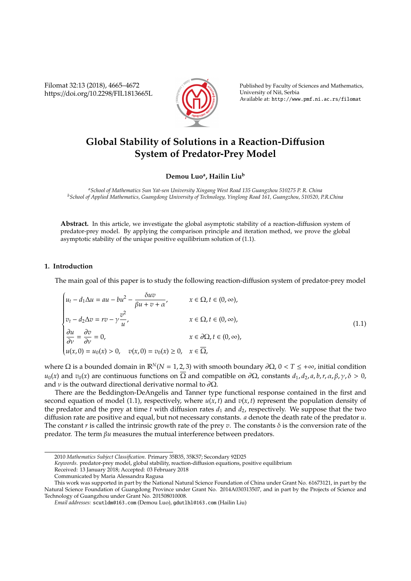Filomat 32:13 (2018), 4665–4672 https://doi.org/10.2298/FIL1813665L



Published by Faculty of Sciences and Mathematics, University of Niš, Serbia Available at: http://www.pmf.ni.ac.rs/filomat

# **Global Stability of Solutions in a Reaction-Di**ff**usion System of Predator-Prey Model**

**Demou Luo<sup>a</sup> , Hailin Liu<sup>b</sup>**

*<sup>a</sup>School of Mathematics Sun Yat-sen University Xingang West Road 135 Guangzhou 510275 P. R. China <sup>b</sup>School of Applied Mathematics, Guangdong University of Technology, Yinglong Road 161, Guangzhou, 510520, P.R.China*

**Abstract.** In this article, we investigate the global asymptotic stability of a reaction-diffusion system of predator-prey model. By applying the comparison principle and iteration method, we prove the global asymptotic stability of the unique positive equilibrium solution of (1.1).

### **1. Introduction**

The main goal of this paper is to study the following reaction-diffusion system of predator-prey model

$$
\begin{cases}\n u_t - d_1 \Delta u = au - bu^2 - \frac{\delta uv}{\beta u + v + \alpha}, & x \in \Omega, t \in (0, \infty), \\
 v_t - d_2 \Delta v = rv - \gamma \frac{v^2}{u}, & x \in \Omega, t \in (0, \infty), \\
 \frac{\partial u}{\partial v} = \frac{\partial v}{\partial v} = 0, & x \in \partial\Omega, t \in (0, \infty), \\
 u(x, 0) = u_0(x) > 0, & v(x, 0) = v_0(x) \ge 0, & x \in \overline{\Omega},\n\end{cases}
$$
\n(1.1)

where  $\Omega$  is a bounded domain in  $\mathbb{R}^N(N=1,2,3)$  with smooth boundary  $\partial\Omega$ ,  $0 < T \leq +\infty$ , initial condition *u*<sub>0</sub>(*x*) and *v*<sub>0</sub>(*x*) are continuous functions on  $\overline{\Omega}$  and compatible on  $\partial\Omega$ , constants  $d_1$ ,  $d_2$ , *a*, *b*, *r*, *α*, *β*, *γ*, δ > 0, and *v* is the outward directional derivative normal to  $\partial\Omega$ .

There are the Beddington-DeAngelis and Tanner type functional response contained in the first and second equation of model (1.1), respectively, where  $u(x, t)$  and  $v(x, t)$  represent the population density of the predator and the prey at time  $t$  with diffusion rates  $d_1$  and  $d_2$ , respectively. We suppose that the two diffusion rate are positive and equal, but not necessary constants. *a* denote the death rate of the predator *u*. The constant *r* is called the intrinsic growth rate of the prey *v*. The constants  $\delta$  is the conversion rate of the predator. The term β*u* measures the mutual interference between predators.

*Keywords*. predator-prey model, global stability, reaction-diffusion equations, positive equilibrium

<sup>2010</sup> *Mathematics Subject Classification*. Primary 35B35, 35K57; Secondary 92D25

Received: 13 January 2018; Accepted: 03 February 2018

Communicated by Maria Alessandra Ragusa

This work was supported in part by the National Natural Science Foundation of China under Grant No. 61673121, in part by the Natural Science Foundation of Guangdong Province under Grant No. 2014A030313507, and in part by the Projects of Science and Technology of Guangzhou under Grant No. 201508010008.

*Email addresses:* scutldm@163.com (Demou Luo), gdutlhl@163.com (Hailin Liu)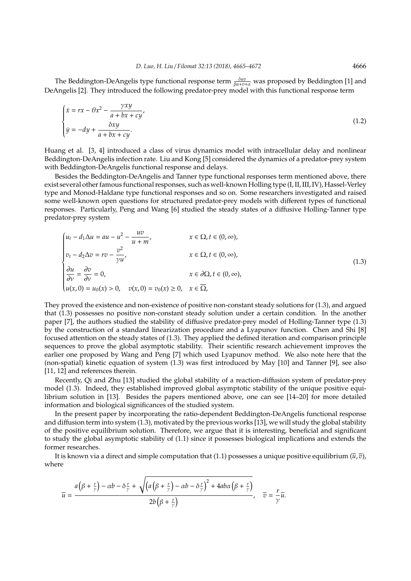The Beddington-DeAngelis type functional response term  $\frac{\delta uv}{\beta u+v+\alpha}$  was proposed by Beddington [1] and DeAngelis [2]. They introduced the following predator-prey model with this functional response term

$$
\begin{cases}\n\dot{x} = rx - \theta x^2 - \frac{\gamma xy}{a + bx + cy'} \\
\dot{y} = -dy + \frac{\delta xy}{a + bx + cy}.\n\end{cases}
$$
\n(1.2)

Huang et al. [3, 4] introduced a class of virus dynamics model with intracellular delay and nonlinear Beddington-DeAngelis infection rate. Liu and Kong [5] considered the dynamics of a predator-prey system with Beddington-DeAngelis functional response and delays.

Besides the Beddington-DeAngelis and Tanner type functional responses term mentioned above, there exist several other famous functional responses, such as well-known Holling type (I, II, III, IV), Hassel-Verley type and Monod-Haldane type functional responses and so on. Some researchers investigated and raised some well-known open questions for structured predator-prey models with different types of functional responses. Particularly, Peng and Wang [6] studied the steady states of a diffusive Holling-Tanner type predator-prey system

$$
\begin{cases}\n u_t - d_1 \Delta u = au - u^2 - \frac{uv}{u + m}, & x \in \Omega, t \in (0, \infty), \\
 v_t - d_2 \Delta v = rv - \frac{v^2}{\gamma u}, & x \in \Omega, t \in (0, \infty), \\
 \frac{\partial u}{\partial v} = \frac{\partial v}{\partial v} = 0, & x \in \partial\Omega, t \in (0, \infty), \\
 u(x, 0) = u_0(x) > 0, & v(x, 0) = v_0(x) \ge 0, & x \in \overline{\Omega},\n\end{cases}
$$
\n(1.3)

They proved the existence and non-existence of positive non-constant steady solutions for (1.3), and argued that (1.3) possesses no positive non-constant steady solution under a certain condition. In the another paper [7], the authors studied the stability of diffusive predator-prey model of Holling-Tanner type (1.3) by the construction of a standard linearization procedure and a Lyapunov function. Chen and Shi [8] focused attention on the steady states of (1.3). They applied the defined iteration and comparison principle sequences to prove the global asymptotic stability. Their scientific research achievement improves the earlier one proposed by Wang and Peng [7] which used Lyapunov method. We also note here that the (non-spatial) kinetic equation of system (1.3) was first introduced by May [10] and Tanner [9], see also [11, 12] and references therein.

Recently, Qi and Zhu [13] studied the global stability of a reaction-diffusion system of predator-prey model (1.3). Indeed, they established improved global asymptotic stability of the unique positive equilibrium solution in [13]. Besides the papers mentioned above, one can see [14–20] for more detailed information and biological significances of the studied system.

In the present paper by incorporating the ratio-dependent Beddington-DeAngelis functional response and diffusion term into system (1.3), motivated by the previous works [13], we will study the global stability of the positive equilibrium solution. Therefore, we argue that it is interesting, beneficial and significant to study the global asymptotic stability of (1.1) since it possesses biological implications and extends the former researches.

It is known via a direct and simple computation that (1.1) possesses a unique positive equilibrium  $(\bar{u}, \bar{v})$ , where

$$
\overline{u} = \frac{a(\beta + \frac{r}{\gamma}) - \alpha b - \delta \frac{r}{\gamma} + \sqrt{(a(\beta + \frac{r}{\gamma}) - \alpha b - \delta \frac{r}{\gamma})^2 + 4ab\alpha(\beta + \frac{r}{\gamma})}}{2b(\beta + \frac{r}{\gamma})}, \quad \overline{v} = \frac{r}{\gamma}\overline{u}.
$$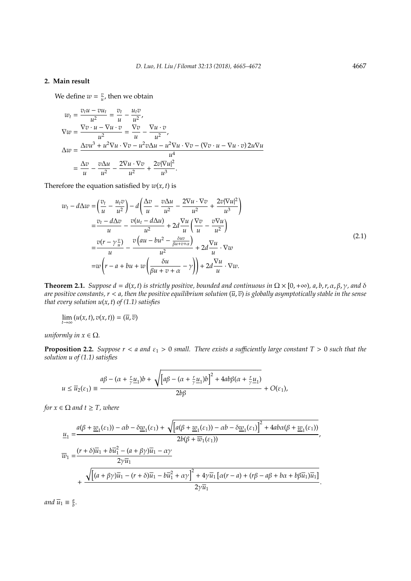## **2. Main result**

We define  $w = \frac{v}{u}$ , then we obtain

$$
w_t = \frac{v_t u - v u_t}{u^2} = \frac{v_t}{u} - \frac{u_t v}{u^2},
$$
  
\n
$$
\nabla w = \frac{\nabla v \cdot u - \nabla u \cdot v}{u^2} = \frac{\nabla v}{u} - \frac{\nabla u \cdot v}{u^2},
$$
  
\n
$$
\Delta w = \frac{\Delta v u^3 + u^2 \nabla u \cdot \nabla v - u^2 v \Delta u - u^2 \nabla u \cdot \nabla v - (\nabla v \cdot u - \nabla u \cdot v) 2u \nabla u}{u^4}
$$
  
\n
$$
= \frac{\Delta v}{u} - \frac{v \Delta u}{u^2} - \frac{2 \nabla u \cdot \nabla v}{u^2} + \frac{2v |\nabla u|^2}{u^3}.
$$

Therefore the equation satisfied by  $w(x, t)$  is

$$
w_t - d\Delta w = \left(\frac{v_t}{u} - \frac{u_t v}{u^2}\right) - d\left(\frac{\Delta v}{u} - \frac{v \Delta u}{u^2} - \frac{2\nabla u \cdot \nabla v}{u^2} + \frac{2v|\nabla u|^2}{u^3}\right)
$$
  

$$
= \frac{v_t - d\Delta v}{u} - \frac{v(u_t - d\Delta u)}{u^2} + 2d\frac{\nabla u}{u}\left(\frac{\nabla v}{u} - \frac{v\nabla u}{u^2}\right)
$$
  

$$
= \frac{v(r - \gamma \frac{v}{u})}{u} - \frac{v\left(au - bu^2 - \frac{\delta uv}{\beta u + v + \alpha}\right)}{u^2} + 2d\frac{\nabla u}{u} \cdot \nabla w
$$
  

$$
= w\left(r - a + bu + w\left(\frac{\delta u}{\beta u + v + \alpha} - \gamma\right)\right) + 2d\frac{\nabla u}{u} \cdot \nabla w.
$$
 (2.1)

**Theorem 2.1.** *Suppose d* =  $d(x, t)$  *is strictly positive, bounded and continuous in*  $\Omega \times [0, +\infty)$ *, a, b, r,*  $\alpha$ *,*  $\beta$ *,*  $\gamma$ *, and*  $\delta$ *are positive constants,*  $r < a$ *, then the positive equilibrium solution*  $(\overline{u}, \overline{v})$  *is globally asymptotically stable in the sense that every solution u*(*x*, *t*) *of (1.1) satisfies*

$$
\lim_{t\to\infty} (u(x,t),v(x,t)) = (\overline{u},\overline{v})
$$

*uniformly in*  $x \in \Omega$ *.* 

**Proposition 2.2.** *Suppose*  $r < a$  *and*  $\varepsilon_1 > 0$  *small. There exists a sufficiently large constant*  $T > 0$  *such that the solution u of (1.1) satisfies*

$$
u \leq \overline{u}_2(\varepsilon_1) \equiv \frac{a\beta - (\alpha + \frac{r}{\gamma}\underline{u}_1)b + \sqrt{[\alpha\beta - (\alpha + \frac{r}{\gamma}\underline{u}_1)b]^2 + 4ab\beta(\alpha + \frac{r}{\gamma}\underline{u}_1)} + O(\varepsilon_1),}
$$

*for*  $x \in \Omega$  *and*  $t \geq T$ *, where* 

$$
\begin{split} \underline{u}_1=&\frac{a(\beta+\underline{w}_1(\varepsilon_1)) -\alpha b -\delta \underline{w}_1(\varepsilon_1)+\sqrt{\left[a(\beta+\underline{w}_1(\varepsilon_1)) -\alpha b -\delta \underline{w}_1(\varepsilon_1)\right]^2+4ab\alpha(\beta+\underline{w}_1(\varepsilon_1))}}{2b(\beta+\overline{w}_1(\varepsilon_1))},\\ \overline{w}_1=&\frac{(r+\delta)\overline{u}_1+b\overline{u}_1^2-(a+\beta\gamma)\overline{u}_1-\alpha\gamma}{2\gamma\overline{u}_1}\\ &+\frac{\sqrt{\left[(a+\beta\gamma)\overline{u}_1-(r+\delta)\overline{u}_1-b\overline{u}_1^2+\alpha\gamma\right]^2+4\gamma\overline{u}_1\left[\alpha(r-a)+(r\beta-a\beta+b\alpha+b\beta\overline{u}_1)\overline{u}_1\right]}}{2\gamma\overline{u}_1}. \end{split}
$$

*and*  $\overline{u}_1 \equiv \frac{a}{b}$ .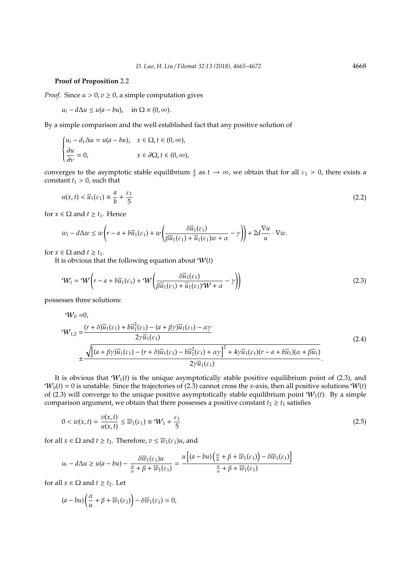#### **Proof of Proposition** 2.2

*Proof.* Since  $u > 0$ ,  $v \ge 0$ , a simple computation gives

 $u_t - d\Delta u \leq u(a - bu)$ , in  $\Omega \times (0, \infty)$ .

By a simple comparison and the well established fact that any positive solution of

$$
\begin{cases} u_t - d_1 \Delta u = u(a - bu), & x \in \Omega, t \in (0, \infty), \\ \frac{\partial u}{\partial \nu} = 0, & x \in \partial \Omega, t \in (0, \infty), \end{cases}
$$

converges to the asymptotic stable equilibrium  $\frac{a}{b}$  as  $t \to \infty$ , we obtain that for all  $\varepsilon_1 > 0$ , there exists a constant  $t_1 > 0$ , such that

$$
u(x,t) < \overline{u}_1(\varepsilon_1) \equiv \frac{a}{b} + \frac{\varepsilon_1}{5} \tag{2.2}
$$

for *x*  $\in \Omega$  and *t*  $\geq t_1$ . Hence

$$
w_t - d\Delta w \le w \left(r - a + b\overline{u}_1(\varepsilon_1) + w \left(\frac{\delta \overline{u}_1(\varepsilon_1)}{\beta \overline{u}_1(\varepsilon_1) + \overline{u}_1(\varepsilon_1)w + \alpha} - \gamma\right)\right) + 2d\frac{\nabla u}{u} \cdot \nabla w.
$$

for  $x \in \Omega$  and  $t \ge t_1$ .

It is obvious that the following equation about  $W(t)$ 

$$
\mathcal{W}_t = \mathcal{W}\left(r - a + b\overline{u}_1(\varepsilon_1) + \mathcal{W}\left(\frac{\delta\overline{u}_1(\varepsilon_1)}{\beta\overline{u}_1(\varepsilon_1) + \overline{u}_1(\varepsilon_1)\mathcal{W} + \alpha} - \gamma\right)\right)
$$
(2.3)

possesses three solutions:

$$
\mathcal{W}_0 = 0,
$$
\n
$$
\mathcal{W}_{1,2} = \frac{(r+\delta)\overline{u}_1(\varepsilon_1) + b\overline{u}_1^2(\varepsilon_1) - (a+\beta\gamma)\overline{u}_1(\varepsilon_1) - \alpha\gamma}{2\gamma\overline{u}_1(\varepsilon_1)}
$$
\n
$$
\pm \frac{\sqrt{\left[(a+\beta\gamma)\overline{u}_1(\varepsilon_1) - (r+\delta)\overline{u}_1(\varepsilon_1) - b\overline{u}_1^2(\varepsilon_1) + \alpha\gamma\right]^2 + 4\gamma\overline{u}_1(\varepsilon_1)(r-a+b\overline{u}_1)(\alpha+\beta\overline{u}_1)}}{2\gamma\overline{u}_1(\varepsilon_1)}.
$$
\n(2.4)

It is obvious that  $W_1(t)$  is the unique asymptotically stable positive equilibrium point of (2.3), and  $W_0(t) = 0$  is unstable. Since the trajectories of (2.3) cannot cross the *x*-axis, then all positive solutions  $W(t)$ of (2.3) will converge to the unique positive asymptotically stable equilibrium point  $W_1(t)$ . By a simple comparison argument, we obtain that there possesses a positive constant  $t_2 \geq t_1$  satisfies

$$
0 < w(x, t) = \frac{v(x, t)}{u(x, t)} \le \overline{w}_1(\varepsilon_1) \equiv \mathcal{W}_1 + \frac{\varepsilon_1}{5} \tag{2.5}
$$

for all  $x \in \Omega$  and  $t \ge t_2$ . Therefore,  $v \le \overline{w}_1(\varepsilon_1)u$ , and

$$
u_t - d\Delta u \ge u(a - bu) - \frac{\delta \overline{w}_1(\varepsilon_1)u}{\frac{\alpha}{u} + \beta + \overline{w}_1(\varepsilon_1)} = \frac{u\left[(a - bu)\left(\frac{\alpha}{u} + \beta + \overline{w}_1(\varepsilon_1)\right) - \delta \overline{w}_1(\varepsilon_1)\right]}{\frac{\alpha}{u} + \beta + \overline{w}_1(\varepsilon_1)}
$$

for all  $x \in \Omega$  and  $t \ge t_2$ . Let

$$
(a - bu) \left(\frac{\alpha}{u} + \beta + \overline{w}_1(\varepsilon_1)\right) - \delta \overline{w}_1(\varepsilon_1) = 0,
$$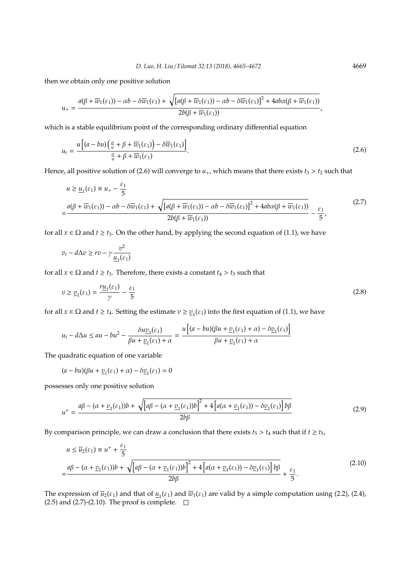then we obtain only one positive solution

$$
u_+ = \frac{a(\beta + \overline{w}_1(\varepsilon_1)) - \alpha b - \delta \overline{w}_1(\varepsilon_1) + \sqrt{[a(\beta + \overline{w}_1(\varepsilon_1)) - \alpha b - \delta \overline{w}_1(\varepsilon_1)]^2 + 4ab\alpha(\beta + \overline{w}_1(\varepsilon_1))}}{2b(\beta + \overline{w}_1(\varepsilon_1))},
$$

which is a stable equilibrium point of the corresponding ordinary differential equation

$$
u_t = \frac{u\left[ (a - bu)\left(\frac{\alpha}{u} + \beta + \overline{w}_1(\varepsilon_1)\right) - \delta \overline{w}_1(\varepsilon_1) \right]}{\frac{\alpha}{u} + \beta + \overline{w}_1(\varepsilon_1)}.
$$
\n(2.6)

Hence, all positive solution of (2.6) will converge to  $u_+$ , which means that there exists  $t_3 > t_2$  such that

$$
u \ge \underline{u}_1(\varepsilon_1) \equiv u_+ - \frac{\varepsilon_1}{5}
$$
  
= 
$$
\frac{a(\beta + \overline{w}_1(\varepsilon_1)) - \alpha b - \delta \overline{w}_1(\varepsilon_1) + \sqrt{[a(\beta + \overline{w}_1(\varepsilon_1)) - \alpha b - \delta \overline{w}_1(\varepsilon_1)]^2 + 4ab\alpha(\beta + \overline{w}_1(\varepsilon_1))}}{2b(\beta + \overline{w}_1(\varepsilon_1))} - \frac{\varepsilon_1}{5},
$$
 (2.7)

for all  $x \in \Omega$  and  $t \ge t_3$ . On the other hand, by applying the second equation of (1.1), we have

$$
v_t - d\Delta v \ge rv - \gamma \frac{v^2}{\underline{u}_1(\varepsilon_1)}
$$

for all  $x \in \Omega$  and  $t \ge t_3$ . Therefore, there exists a constant  $t_4 > t_3$  such that

$$
v \ge \underline{v}_1(\varepsilon_1) = \frac{r\underline{u}_1(\varepsilon_1)}{\gamma} - \frac{\varepsilon_1}{5} \tag{2.8}
$$

for all  $x \in \Omega$  and  $t \ge t_4$ . Setting the estimate  $v \ge v_1(\varepsilon_1)$  into the first equation of (1.1), we have

$$
u_t - d\Delta u \le au - bu^2 - \frac{\delta u \underline{v}_1(\varepsilon_1)}{\beta u + \underline{v}_1(\varepsilon_1) + \alpha} = \frac{u\left[ (a - bu)(\beta u + \underline{v}_1(\varepsilon_1) + \alpha) - \delta \underline{v}_1(\varepsilon_1) \right]}{\beta u + \underline{v}_1(\varepsilon_1) + \alpha}
$$

The quadratic equation of one variable

$$
(a - bu)(\beta u + \underline{v}_1(\varepsilon_1) + \alpha) - \delta \underline{v}_1(\varepsilon_1) = 0
$$

possesses only one positive solution

$$
u^{+} = \frac{a\beta - (\alpha + \underline{v}_{1}(\varepsilon_{1}))b + \sqrt{[a\beta - (\alpha + \underline{v}_{1}(\varepsilon_{1}))b]^{2} + 4[a(\alpha + \underline{v}_{1}(\varepsilon_{1})) - \delta \underline{v}_{1}(\varepsilon_{1})]b\beta}}{2b\beta}
$$
(2.9)

By comparison principle, we can draw a conclusion that there exists  $t_5 > t_4$  such that if  $t \ge t_5$ ,

$$
u \le \overline{u}_2(\varepsilon_1) \equiv u^+ + \frac{\varepsilon_1}{5}
$$
  
= 
$$
\frac{a\beta - (\alpha + \underline{v}_1(\varepsilon_1))b + \sqrt{[a\beta - (\alpha + \underline{v}_1(\varepsilon_1))b]^2 + 4[a(\alpha + \underline{v}_1(\varepsilon_1)) - \delta \underline{v}_1(\varepsilon_1)]b\beta}}{2b\beta} + \frac{\varepsilon_1}{5}.
$$
 (2.10)

The expression of  $\overline{u}_2(\varepsilon_1)$  and that of  $\underline{u}_1(\varepsilon_1)$  and  $\overline{w}_1(\varepsilon_1)$  are valid by a simple computation using (2.2), (2.4), (2.5) and (2.7)-(2.10). The proof is complete.  $\Box$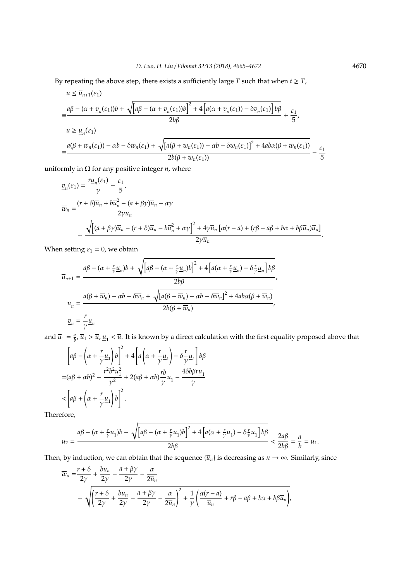By repeating the above step, there exists a sufficiently large *T* such that when  $t \geq T$ ,

$$
u \le \overline{u}_{n+1}(\varepsilon_1)
$$
\n
$$
= \frac{a\beta - (\alpha + \underline{v}_n(\varepsilon_1))b + \sqrt{[a\beta - (\alpha + \underline{v}_n(\varepsilon_1))b]^2 + 4[a(\alpha + \underline{v}_n(\varepsilon_1)) - \delta \underline{v}_n(\varepsilon_1)]b\beta}}{2b\beta} + \frac{\varepsilon_1}{5},
$$
\n
$$
u \ge \underline{u}_n(\varepsilon_1)
$$
\n
$$
= \frac{a(\beta + \overline{w}_n(\varepsilon_1)) - \alpha b - \delta \overline{w}_n(\varepsilon_1) + \sqrt{[a(\beta + \overline{w}_n(\varepsilon_1)) - \alpha b - \delta \overline{w}_n(\varepsilon_1)]^2 + 4ab\alpha(\beta + \overline{w}_n(\varepsilon_1))}}{2b(\beta + \overline{w}_n(\varepsilon_1))} - \frac{\varepsilon_1}{5}
$$

uniformly in  $\Omega$  for any positive integer  $n$ , where

$$
\begin{split} \underline{v}_{n}(\varepsilon_{1}) &= \frac{r\underline{u}_{n}(\varepsilon_{1})}{\gamma} - \frac{\varepsilon_{1}}{5}, \\ \overline{w}_{n} &= \frac{(r+\delta)\overline{u}_{n} + b\overline{u}_{n}^{2} - (a+\beta\gamma)\overline{u}_{n} - \alpha\gamma}{2\gamma\overline{u}_{n}} \\ &+ \frac{\sqrt{\left[(a+\beta\gamma)\overline{u}_{n} - (r+\delta)\overline{u}_{n} - b\overline{u}_{n}^{2} + \alpha\gamma\right]^{2} + 4\gamma\overline{u}_{n}\left[\alpha(r-a) + (r\beta - a\beta + b\alpha + b\beta\overline{u}_{n})\overline{u}_{n}\right]}}{2\gamma\overline{u}_{n}}. \end{split}
$$

When setting  $\varepsilon_1 = 0$ , we obtain

$$
\overline{u}_{n+1} = \frac{a\beta - (\alpha + \frac{r}{\gamma} \underline{u}_n)b + \sqrt{[\alpha\beta - (\alpha + \frac{r}{\gamma} \underline{u}_n)b]^2 + 4[\alpha(\alpha + \frac{r}{\gamma} \underline{u}_n) - \delta \frac{r}{\gamma} \underline{u}_n]b\beta}}{2b\beta},
$$
\n
$$
\underline{u}_n = \frac{a(\beta + \overline{w}_n) - \alpha b - \delta \overline{w}_n + \sqrt{[\alpha(\beta + \overline{w}_n) - \alpha b - \delta \overline{w}_n]^2 + 4ab\alpha(\beta + \overline{w}_n)}}{2b(\beta + \overline{w}_n)},
$$
\n
$$
\underline{v}_n = \frac{r}{\gamma} \underline{u}_n
$$

and  $\overline{u}_1 = \frac{a}{b}$ ,  $\overline{u}_1 > \overline{u}$ ,  $\underline{u}_1 < \overline{u}$ . It is known by a direct calculation with the first equality proposed above that

$$
\left[a\beta - \left(\alpha + \frac{r}{\gamma} \underline{u}_1\right)b\right]^2 + 4\left[a\left(\alpha + \frac{r}{\gamma} \underline{u}_1\right) - \delta \frac{r}{\gamma} \underline{u}_1\right]b\beta
$$
  

$$
= (a\beta + \alpha b)^2 + \frac{r^2 b^2 \underline{u}_1^2}{\gamma^2} + 2(a\beta + \alpha b)\frac{rb}{\gamma} \underline{u}_1 - \frac{4\delta b\beta r \underline{u}_1}{\gamma}
$$
  

$$
< \left[a\beta + \left(\alpha + \frac{r}{\gamma} \underline{u}_1\right)b\right]^2.
$$

Therefore,

$$
\overline{u}_2=\dfrac{a\beta-(\alpha+\frac{r}{\gamma}\underline{u}_1)b+\sqrt{\left[a\beta-(\alpha+\frac{r}{\gamma}\underline{u}_1)b\right]^2+4\left[a(\alpha+\frac{r}{\gamma}\underline{u}_1)-\delta\frac{r}{\gamma}\underline{u}_1\right]b\beta}}{2b\beta}<\dfrac{2a\beta}{2b\beta}=\dfrac{a}{b}=\overline{u}_1.
$$

Then, by induction, we can obtain that the sequence  $\{\overline{u}_n\}$  is decreasing as  $n \to \infty$ . Similarly, since

$$
\overline{w}_n = \frac{r + \delta}{2\gamma} + \frac{b\overline{u}_n}{2\gamma} - \frac{a + \beta\gamma}{2\gamma} - \frac{\alpha}{2\overline{u}_n} \n+ \sqrt{\left(\frac{r + \delta}{2\gamma} + \frac{b\overline{u}_n}{2\gamma} - \frac{a + \beta\gamma}{2\gamma} - \frac{\alpha}{2\overline{u}_n}\right)^2 + \frac{1}{\gamma}\left(\frac{\alpha(r - a)}{\overline{u}_n} + r\beta - a\beta + b\alpha + b\beta\overline{u}_n\right)},
$$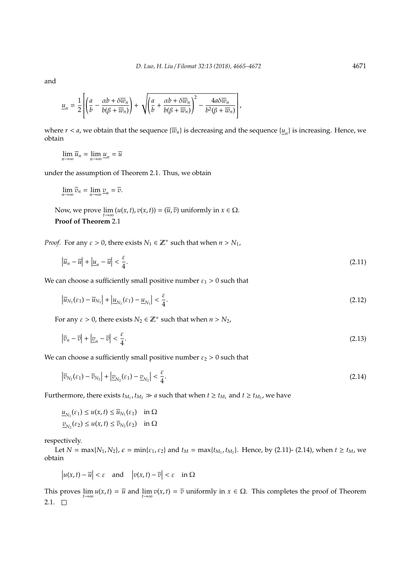and

$$
\underline{u}_n = \frac{1}{2} \left[ \left( \frac{a}{b} - \frac{\alpha b + \delta \overline{w}_n}{b(\beta + \overline{w}_n)} \right) + \sqrt{\left( \frac{a}{b} + \frac{\alpha b + \delta \overline{w}_n}{b(\beta + \overline{w}_n)} \right)^2 - \frac{4a \delta \overline{w}_n}{b^2(\beta + \overline{w}_n)}} \right],
$$

where  $r < a$ , we obtain that the sequence  $\{\overline{w}_n\}$  is decreasing and the sequence  $\{\underline{u}_n\}$  is increasing. Hence, we obtain

$$
\lim_{n\to\infty}\overline{u}_n=\lim_{n\to\infty}\underline{u}_n=\overline{u}
$$

under the assumption of Theorem 2.1. Thus, we obtain

$$
\lim_{n\to\infty}\overline{v}_n=\lim_{n\to\infty}\underline{v}_n=\overline{v}.
$$

Now, we prove  $\lim_{t \to \infty} (u(x, t), v(x, t)) = (\overline{u}, \overline{v})$  uniformly in  $x \in \Omega$ . **Proof of Theorem** 2.1

*Proof.* For any  $\varepsilon > 0$ , there exists  $N_1 \in \mathbb{Z}^+$  such that when  $n > N_1$ ,

$$
\left|\overline{u}_n - \overline{u}\right| + \left|\underline{u}_n - \overline{u}\right| < \frac{\varepsilon}{4}.\tag{2.11}
$$

We can choose a sufficiently small positive number  $\varepsilon_1 > 0$  such that

$$
\left|\overline{u}_{N_1}(\varepsilon_1) - \overline{u}_{N_1}\right| + \left|\underline{u}_{N_1}(\varepsilon_1) - \underline{u}_{N_1}\right| < \frac{\varepsilon}{4}.\tag{2.12}
$$

For any  $\varepsilon > 0$ , there exists  $N_2 \in \mathbb{Z}^+$  such that when  $n > N_2$ ,

$$
\left|\overline{v}_n - \overline{v}\right| + \left|\underline{v}_n - \overline{v}\right| < \frac{\varepsilon}{4}.\tag{2.13}
$$

We can choose a sufficiently small positive number  $\varepsilon_2 > 0$  such that

$$
\left|\overline{v}_{N_2}(\varepsilon_1) - \overline{v}_{N_2}\right| + \left|\underline{v}_{N_2}(\varepsilon_1) - \underline{v}_{N_2}\right| < \frac{\varepsilon}{4}.\tag{2.14}
$$

Furthermore, there exists  $t_{M_1}$ ,  $t_{M_2} \gg a$  such that when  $t \geq t_{M_1}$  and  $t \geq t_{M_2}$ , we have

$$
\underline{u}_{N_1}(\varepsilon_1) \le u(x,t) \le \overline{u}_{N_1}(\varepsilon_1) \quad \text{in } \Omega
$$
  

$$
\underline{v}_{N_2}(\varepsilon_2) \le u(x,t) \le \overline{v}_{N_2}(\varepsilon_2) \quad \text{in } \Omega
$$

respectively.

Let  $N = \max\{N_1, N_2\}$ ,  $\epsilon = \min\{\epsilon_1, \epsilon_2\}$  and  $t_M = \max\{t_{M_1}, t_{M_2}\}$ . Hence, by (2.11)- (2.14), when  $t \ge t_M$ , we obtain

 $|u(x,t) - \overline{u}| < \varepsilon$  and  $|v(x,t) - \overline{v}| < \varepsilon$  in  $\Omega$ 

This proves  $\lim_{t\to\infty} u(x,t) = \overline{u}$  and  $\lim_{t\to\infty} v(x,t) = \overline{v}$  uniformly in  $x \in \Omega$ . This completes the proof of Theorem 2.1.  $\square$